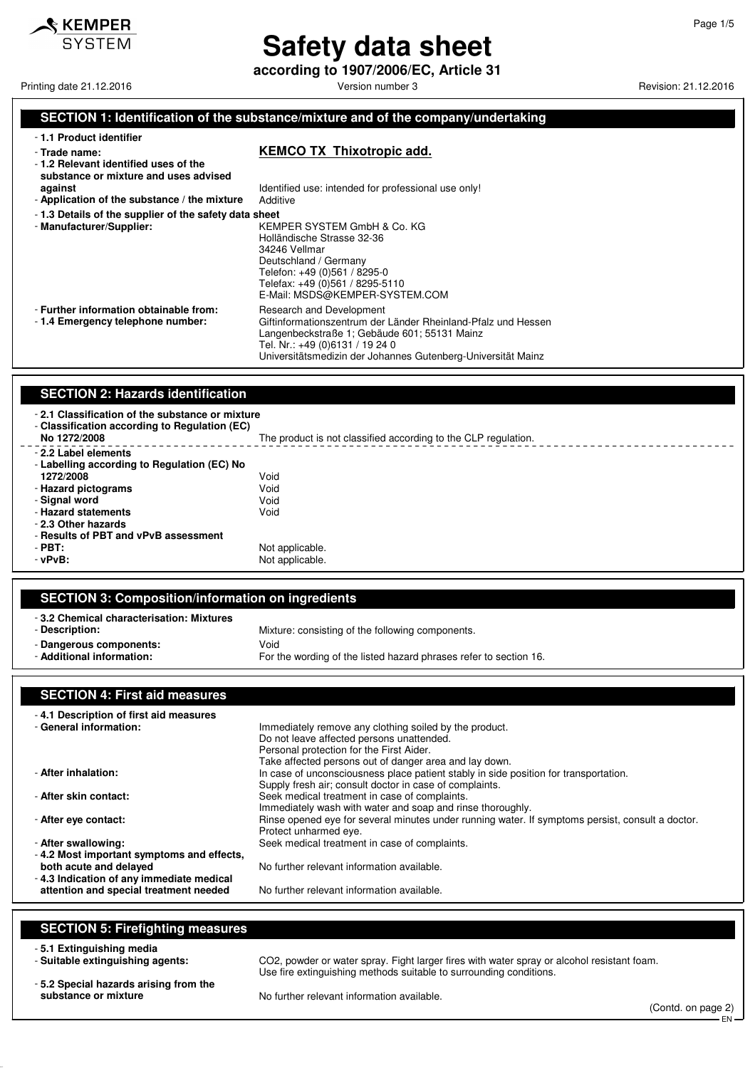

# **Safety data sheet**

**according to 1907/2006/EC, Article 31**

Printing date 21.12.2016 **Printing date 21.12.2016** Version number 3 Revision: 21.12.2016

#### **SECTION 1: Identification of the substance/mixture and of the company/undertaking**

- **1.1 Product identifier**

- **1.2 Relevant identified uses of the**

#### - **Trade name: KEMCO TX Thixotropic add.**

| substance or mixture and uses advised<br>against<br>- Application of the substance / the mixture | Identified use: intended for professional use only!<br>Additive                                                                                                                                                                              |
|--------------------------------------------------------------------------------------------------|----------------------------------------------------------------------------------------------------------------------------------------------------------------------------------------------------------------------------------------------|
| -1.3 Details of the supplier of the safety data sheet                                            |                                                                                                                                                                                                                                              |
| - Manufacturer/Supplier:                                                                         | KEMPER SYSTEM GmbH & Co. KG<br>Holländische Strasse 32-36<br>34246 Vellmar<br>Deutschland / Germany<br>Telefon: +49 (0)561 / 8295-0<br>Telefax: +49 (0)561 / 8295-5110<br>E-Mail: MSDS@KEMPER-SYSTEM.COM                                     |
| - Further information obtainable from:<br>-1.4 Emergency telephone number:                       | Research and Development<br>Giftinformationszentrum der Länder Rheinland-Pfalz und Hessen<br>Langenbeckstraße 1; Gebäude 601; 55131 Mainz<br>Tel. Nr.: +49 (0)6131 / 19 24 0<br>Universitätsmedizin der Johannes Gutenberg-Universität Mainz |

#### **SECTION 2: Hazards identification**

- **2.1 Classification of the substance or mixture** - **Classification according to Regulation (EC)** The product is not classified according to the CLP regulation. - **2.2 Label elements**

| - Labelling according to Regulation (EC) No |                 |
|---------------------------------------------|-----------------|
| 1272/2008                                   | Void            |
| - Hazard pictograms                         | Void            |
| - Signal word                               | Void            |
| - Hazard statements                         | Void            |
| - 2.3 Other hazards                         |                 |
| - Results of PBT and vPvB assessment        |                 |
| $-PBT$ :                                    | Not applicable. |
| $-vPvB$ :                                   | Not applicable. |

#### **SECTION 3: Composition/information on ingredients**

| -3.2 Chemical characterisation: Mixtures<br>- Description: | Mixture: consisting of the following components.                  |
|------------------------------------------------------------|-------------------------------------------------------------------|
| - Dangerous components:                                    | Void                                                              |
| - Additional information:                                  | For the wording of the listed hazard phrases refer to section 16. |

#### **SECTION 4: First aid measures**

| -4.1 Description of first aid measures                                                                          |                                                                                                                                                                                         |
|-----------------------------------------------------------------------------------------------------------------|-----------------------------------------------------------------------------------------------------------------------------------------------------------------------------------------|
| - General information:                                                                                          | Immediately remove any clothing soiled by the product.<br>Do not leave affected persons unattended.                                                                                     |
|                                                                                                                 | Personal protection for the First Aider.<br>Take affected persons out of danger area and lay down.                                                                                      |
| - After inhalation:                                                                                             | In case of unconsciousness place patient stably in side position for transportation.<br>Supply fresh air; consult doctor in case of complaints.                                         |
| - After skin contact:                                                                                           | Seek medical treatment in case of complaints.                                                                                                                                           |
| - After eve contact:                                                                                            | Immediately wash with water and soap and rinse thoroughly.<br>Rinse opened eve for several minutes under running water. If symptoms persist, consult a doctor.<br>Protect unharmed eye. |
| - After swallowing:                                                                                             | Seek medical treatment in case of complaints.                                                                                                                                           |
| -4.2 Most important symptoms and effects,<br>both acute and delayed<br>-4.3 Indication of any immediate medical | No further relevant information available.                                                                                                                                              |
| attention and special treatment needed                                                                          | No further relevant information available.                                                                                                                                              |

#### **SECTION 5: Firefighting measures**

- **5.1 Extinguishing media**
- **5.2 Special hazards arising from the**

CO2, powder or water spray. Fight larger fires with water spray or alcohol resistant foam. Use fire extinguishing methods suitable to surrounding conditions.

substance or mixture **No further relevant information available.**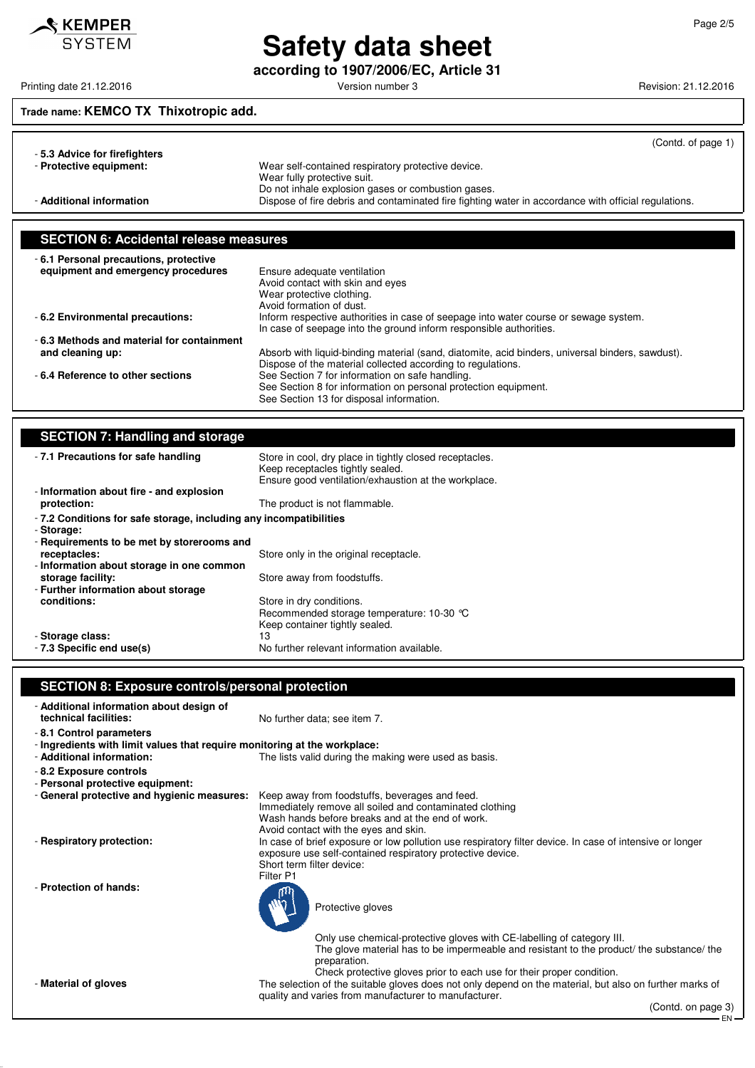

# **Safety data sheet**

Printing date 21.12.2016 **Principal and COVID-12.2016** Version number 3 Revision: 21.12.2016

**according to 1907/2006/EC, Article 31**

# **Trade name: KEMCO TX Thixotropic add.**

| -5.3 Advice for firefighters | (Contd. of page 1)                                                                                   |
|------------------------------|------------------------------------------------------------------------------------------------------|
| - Protective equipment:      | Wear self-contained respiratory protective device.                                                   |
|                              | Wear fully protective suit.                                                                          |
|                              | Do not inhale explosion gases or combustion gases.                                                   |
| - Additional information     | Dispose of fire debris and contaminated fire fighting water in accordance with official regulations. |

# **SECTION 6: Accidental release measures**

| -6.1 Personal precautions, protective<br>equipment and emergency procedures | Ensure adequate ventilation<br>Avoid contact with skin and eyes<br>Wear protective clothing.<br>Avoid formation of dust.                                        |
|-----------------------------------------------------------------------------|-----------------------------------------------------------------------------------------------------------------------------------------------------------------|
| -6.2 Environmental precautions:                                             | Inform respective authorities in case of seepage into water course or sewage system.<br>In case of seepage into the ground inform responsible authorities.      |
| -6.3 Methods and material for containment                                   |                                                                                                                                                                 |
| and cleaning up:                                                            | Absorb with liquid-binding material (sand, diatomite, acid binders, universal binders, sawdust).<br>Dispose of the material collected according to regulations. |
| -6.4 Reference to other sections                                            | See Section 7 for information on safe handling.<br>See Section 8 for information on personal protection equipment.<br>See Section 13 for disposal information.  |

| <b>SECTION 7: Handling and storage</b>                                           |                                                                                                                                                     |  |
|----------------------------------------------------------------------------------|-----------------------------------------------------------------------------------------------------------------------------------------------------|--|
| -7.1 Precautions for safe handling                                               | Store in cool, dry place in tightly closed receptacles.<br>Keep receptacles tightly sealed.<br>Ensure good ventilation/exhaustion at the workplace. |  |
| - Information about fire - and explosion                                         |                                                                                                                                                     |  |
| protection:                                                                      | The product is not flammable.                                                                                                                       |  |
| - 7.2 Conditions for safe storage, including any incompatibilities<br>- Storage: |                                                                                                                                                     |  |
| - Requirements to be met by storerooms and                                       |                                                                                                                                                     |  |
| receptacles:                                                                     | Store only in the original receptacle.                                                                                                              |  |
| - Information about storage in one common                                        |                                                                                                                                                     |  |
| storage facility:                                                                | Store away from foodstuffs.                                                                                                                         |  |
| - Further information about storage                                              |                                                                                                                                                     |  |
| conditions:                                                                      | Store in dry conditions.<br>Recommended storage temperature: 10-30 °C<br>Keep container tightly sealed.                                             |  |
| - Storage class:                                                                 | 13                                                                                                                                                  |  |
| - 7.3 Specific end use(s)                                                        | No further relevant information available.                                                                                                          |  |

## **SECTION 8: Exposure controls/personal protection**

| - Additional information about design of<br>technical facilities:                                    | No further data; see item 7.                                                                                                                                                                                                                               |  |
|------------------------------------------------------------------------------------------------------|------------------------------------------------------------------------------------------------------------------------------------------------------------------------------------------------------------------------------------------------------------|--|
| -8.1 Control parameters<br>- Ingredients with limit values that require monitoring at the workplace: |                                                                                                                                                                                                                                                            |  |
| - Additional information:                                                                            | The lists valid during the making were used as basis.                                                                                                                                                                                                      |  |
| - 8.2 Exposure controls<br>- Personal protective equipment:                                          |                                                                                                                                                                                                                                                            |  |
| - General protective and hygienic measures:                                                          | Keep away from foodstuffs, beverages and feed.<br>Immediately remove all soiled and contaminated clothing<br>Wash hands before breaks and at the end of work.<br>Avoid contact with the eyes and skin.                                                     |  |
| - Respiratory protection:                                                                            | In case of brief exposure or low pollution use respiratory filter device. In case of intensive or longer<br>exposure use self-contained respiratory protective device.<br>Short term filter device:<br>Filter P1                                           |  |
| - Protection of hands:                                                                               | Protective gloves                                                                                                                                                                                                                                          |  |
|                                                                                                      | Only use chemical-protective gloves with CE-labelling of category III.<br>The glove material has to be impermeable and resistant to the product the substance the<br>preparation.<br>Check protective gloves prior to each use for their proper condition. |  |
| - Material of gloves                                                                                 | The selection of the suitable gloves does not only depend on the material, but also on further marks of<br>quality and varies from manufacturer to manufacturer.                                                                                           |  |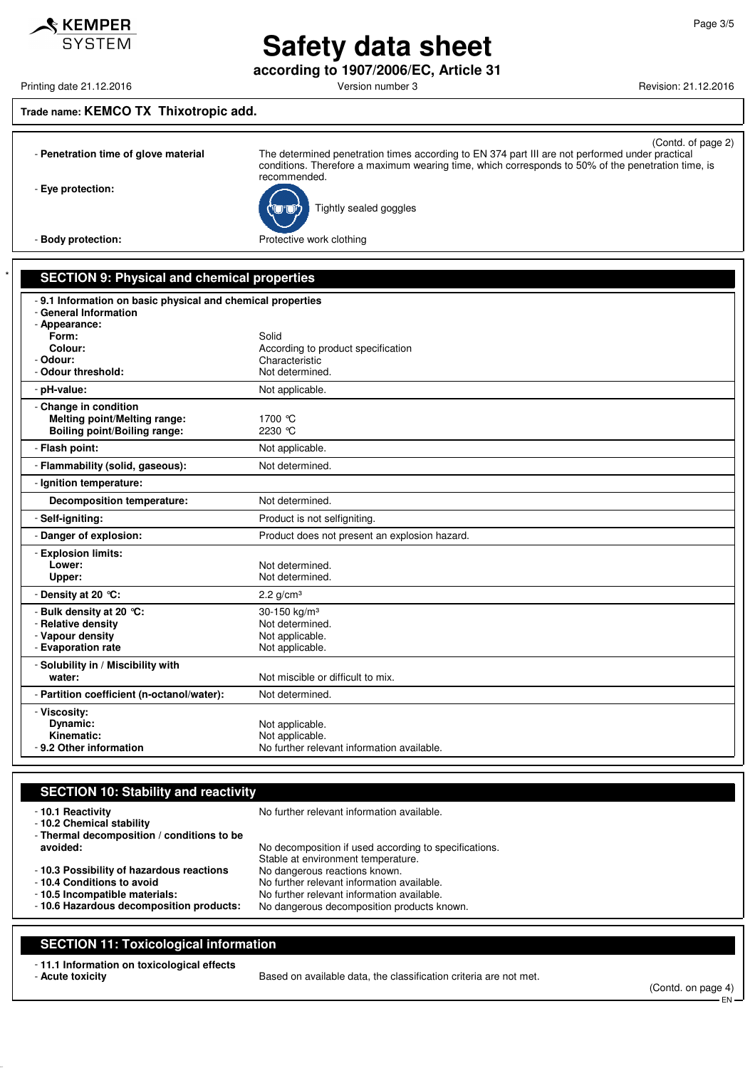**Safety data sheet according to 1907/2006/EC, Article 31**

Printing date 21.12.2016 **Printing date 21.12.2016** Version number 3 Revision: 21.12.2016

#### **Trade name: KEMCO TX Thixotropic add.**

 $\mathcal S$  KEMPER **SYSTEM** 

| - Penetration time of glove material                                                                | (Contd. of page 2)<br>The determined penetration times according to EN 374 part III are not performed under practical<br>conditions. Therefore a maximum wearing time, which corresponds to 50% of the penetration time, is<br>recommended. |
|-----------------------------------------------------------------------------------------------------|---------------------------------------------------------------------------------------------------------------------------------------------------------------------------------------------------------------------------------------------|
| - Eye protection:                                                                                   | Tightly sealed goggles                                                                                                                                                                                                                      |
| - Body protection:                                                                                  | Protective work clothing                                                                                                                                                                                                                    |
|                                                                                                     |                                                                                                                                                                                                                                             |
| <b>SECTION 9: Physical and chemical properties</b>                                                  |                                                                                                                                                                                                                                             |
| - 9.1 Information on basic physical and chemical properties                                         |                                                                                                                                                                                                                                             |
| - General Information<br>- Appearance:                                                              |                                                                                                                                                                                                                                             |
| Form:                                                                                               | Solid                                                                                                                                                                                                                                       |
| Colour:                                                                                             | According to product specification                                                                                                                                                                                                          |
| - Odour:                                                                                            | Characteristic                                                                                                                                                                                                                              |
| - Odour threshold:                                                                                  | Not determined.                                                                                                                                                                                                                             |
| - pH-value:                                                                                         | Not applicable.                                                                                                                                                                                                                             |
| - Change in condition<br><b>Melting point/Melting range:</b><br><b>Boiling point/Boiling range:</b> | 1700 °C<br>2230 °C                                                                                                                                                                                                                          |
| - Flash point:                                                                                      | Not applicable.                                                                                                                                                                                                                             |
| - Flammability (solid, gaseous):                                                                    | Not determined.                                                                                                                                                                                                                             |
| - Ignition temperature:                                                                             |                                                                                                                                                                                                                                             |
| <b>Decomposition temperature:</b>                                                                   | Not determined.                                                                                                                                                                                                                             |
| - Self-igniting:                                                                                    | Product is not selfigniting.                                                                                                                                                                                                                |
| - Danger of explosion:                                                                              | Product does not present an explosion hazard.                                                                                                                                                                                               |
| - Explosion limits:                                                                                 |                                                                                                                                                                                                                                             |
| Lower:                                                                                              | Not determined.                                                                                                                                                                                                                             |
| Upper:                                                                                              | Not determined.                                                                                                                                                                                                                             |
| - Density at 20 °C:                                                                                 | 2.2 $g/cm3$                                                                                                                                                                                                                                 |
| - Bulk density at 20 °C:                                                                            | 30-150 kg/m <sup>3</sup>                                                                                                                                                                                                                    |
| - Relative density                                                                                  | Not determined.                                                                                                                                                                                                                             |
| - Vapour density<br>- Evaporation rate                                                              | Not applicable.<br>Not applicable.                                                                                                                                                                                                          |
|                                                                                                     |                                                                                                                                                                                                                                             |
| - Solubility in / Miscibility with<br>water:                                                        | Not miscible or difficult to mix.                                                                                                                                                                                                           |
|                                                                                                     |                                                                                                                                                                                                                                             |

- **Partition coefficient (n-octanol/water):** Not determined. - **Viscosity:** Not applicable. **Kinematic:** Not applicable.<br>**9.2 Other information** No further relevents and the Note of Note of Note 1998. No further relevant information available.

| <b>SECTION 10: Stability and reactivity</b>                                                 |                                                                                             |  |
|---------------------------------------------------------------------------------------------|---------------------------------------------------------------------------------------------|--|
| -10.1 Reactivity<br>- 10.2 Chemical stability<br>- Thermal decomposition / conditions to be | No further relevant information available.                                                  |  |
| avoided:                                                                                    | No decomposition if used according to specifications.<br>Stable at environment temperature. |  |
| - 10.3 Possibility of hazardous reactions                                                   | No dangerous reactions known.                                                               |  |
| - 10.4 Conditions to avoid                                                                  | No further relevant information available.                                                  |  |
| -10.5 Incompatible materials:                                                               | No further relevant information available.                                                  |  |
| -10.6 Hazardous decomposition products:                                                     | No dangerous decomposition products known.                                                  |  |

### **SECTION 11: Toxicological information**

- **11.1 Information on toxicological effects**

Based on available data, the classification criteria are not met.

(Contd. on page 4) EN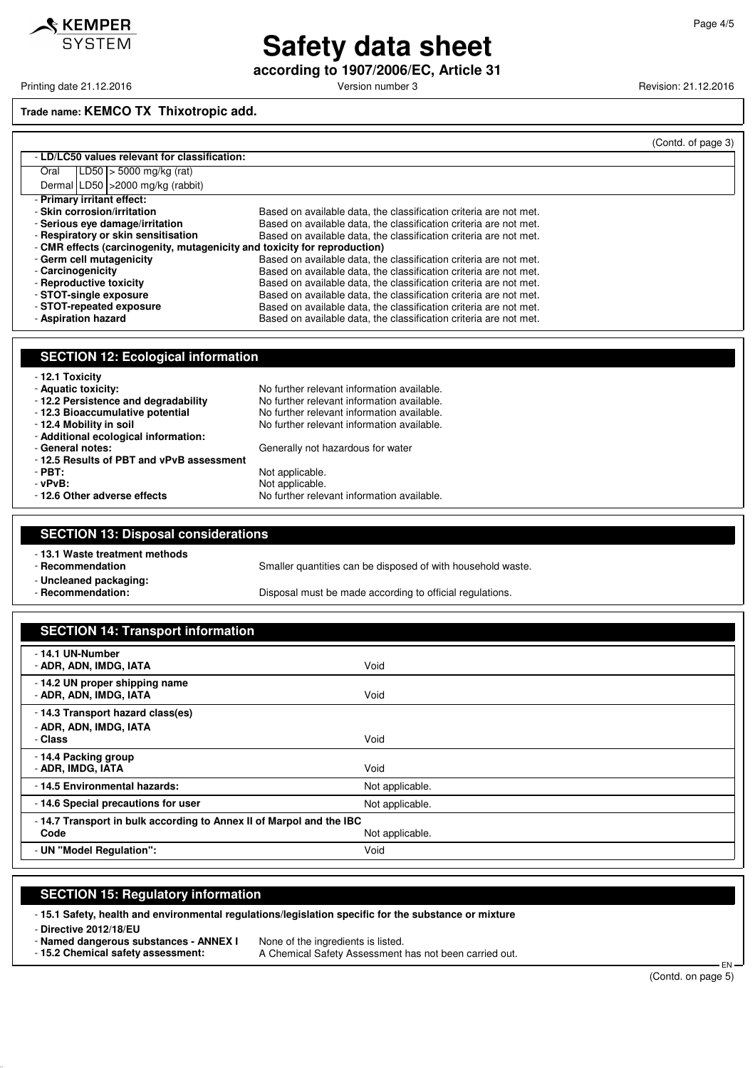

# **Safety data sheet**

**according to 1907/2006/EC, Article 31**

Printing date 21.12.2016 **Printing date 21.12.2016** Version number 3 Revision: 21.12.2016

#### **Trade name: KEMCO TX Thixotropic add.**

|                     |                                               |                                                                           | (Contd. of page 3) |
|---------------------|-----------------------------------------------|---------------------------------------------------------------------------|--------------------|
|                     | - LD/LC50 values relevant for classification: |                                                                           |                    |
| Oral                | $ LD50 $ > 5000 mg/kg (rat)                   |                                                                           |                    |
|                     | Dermal LD50   > 2000 mg/kg (rabbit)           |                                                                           |                    |
|                     | - Primary irritant effect:                    |                                                                           |                    |
|                     | - Skin corrosion/irritation                   | Based on available data, the classification criteria are not met.         |                    |
|                     | - Serious eve damage/irritation               | Based on available data, the classification criteria are not met.         |                    |
|                     | - Respiratory or skin sensitisation           | Based on available data, the classification criteria are not met.         |                    |
|                     |                                               | - CMR effects (carcinogenity, mutagenicity and toxicity for reproduction) |                    |
|                     | - Germ cell mutagenicity                      | Based on available data, the classification criteria are not met.         |                    |
| - Carcinogenicity   |                                               | Based on available data, the classification criteria are not met.         |                    |
|                     | - Reproductive toxicity                       | Based on available data, the classification criteria are not met.         |                    |
|                     | - STOT-single exposure                        | Based on available data, the classification criteria are not met.         |                    |
|                     | - STOT-repeated exposure                      | Based on available data, the classification criteria are not met.         |                    |
| - Aspiration hazard |                                               | Based on available data, the classification criteria are not met.         |                    |
|                     |                                               |                                                                           |                    |

### **SECTION 12: Ecological information**

| - 12.1 Toxicity                          |                                            |
|------------------------------------------|--------------------------------------------|
| - Aquatic toxicity:                      | No further relevant information available. |
| - 12.2 Persistence and degradability     | No further relevant information available. |
| - 12.3 Bioaccumulative potential         | No further relevant information available. |
| - 12.4 Mobility in soil                  | No further relevant information available. |
| - Additional ecological information:     |                                            |
| - General notes:                         | Generally not hazardous for water          |
| -12.5 Results of PBT and vPvB assessment |                                            |
| $-$ PBT:                                 | Not applicable.                            |
| - vPvB:                                  | Not applicable.                            |
| - 12.6 Other adverse effects             | No further relevant information available. |

## **SECTION 13: Disposal considerations**

- **13.1 Waste treatment methods**

Smaller quantities can be disposed of with household waste.

- **Uncleaned packaging:**

Disposal must be made according to official regulations.

| <b>SECTION 14: Transport information</b>                                                       |                 |
|------------------------------------------------------------------------------------------------|-----------------|
| - 14.1 UN-Number<br>- ADR, ADN, IMDG, IATA                                                     | Void            |
| - 14.2 UN proper shipping name<br>- ADR, ADN, IMDG, IATA                                       | Void            |
| - 14.3 Transport hazard class(es)<br>- ADR, ADN, IMDG, IATA<br>- Class                         | Void            |
| -14.4 Packing group<br>- ADR, IMDG, IATA                                                       | Void            |
| -14.5 Environmental hazards:                                                                   | Not applicable. |
| -14.6 Special precautions for user                                                             | Not applicable. |
| -14.7 Transport in bulk according to Annex II of Marpol and the IBC<br>Code<br>Not applicable. |                 |
| - UN "Model Regulation":                                                                       | Void            |

#### **SECTION 15: Regulatory information**

- **15.1 Safety, health and environmental regulations/legislation specific for the substance or mixture**

- **Directive 2012/18/EU**

- **Named dangerous substances - ANNEX I** None of the ingredients is listed.<br>- 15.2 Chemical safety assessment: <br>- A Chemical Safety Assessment A Chemical Safety Assessment has not been carried out.

EN